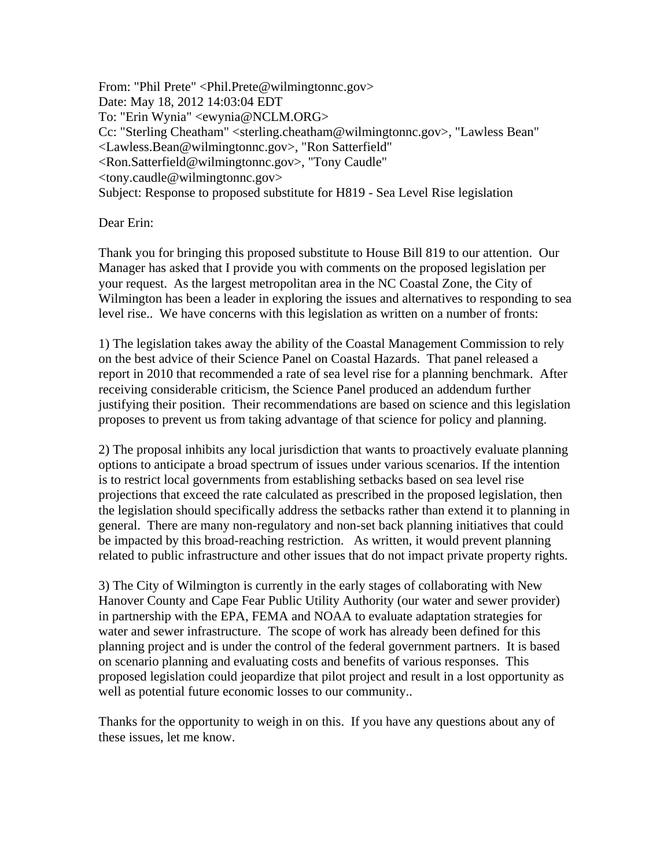From: "Phil Prete" <Phil.Prete@wilmingtonnc.gov> Date: May 18, 2012 14:03:04 EDT To: "Erin Wynia" <ewynia@NCLM.ORG> Cc: "Sterling Cheatham" <sterling.cheatham@wilmingtonnc.gov>, "Lawless Bean" <Lawless.Bean@wilmingtonnc.gov>, "Ron Satterfield" <Ron.Satterfield@wilmingtonnc.gov>, "Tony Caudle" <tony.caudle@wilmingtonnc.gov> Subject: Response to proposed substitute for H819 - Sea Level Rise legislation

Dear Erin:

Thank you for bringing this proposed substitute to House Bill 819 to our attention. Our Manager has asked that I provide you with comments on the proposed legislation per your request. As the largest metropolitan area in the NC Coastal Zone, the City of Wilmington has been a leader in exploring the issues and alternatives to responding to sea level rise.. We have concerns with this legislation as written on a number of fronts:

1) The legislation takes away the ability of the Coastal Management Commission to rely on the best advice of their Science Panel on Coastal Hazards. That panel released a report in 2010 that recommended a rate of sea level rise for a planning benchmark. After receiving considerable criticism, the Science Panel produced an addendum further justifying their position. Their recommendations are based on science and this legislation proposes to prevent us from taking advantage of that science for policy and planning.

2) The proposal inhibits any local jurisdiction that wants to proactively evaluate planning options to anticipate a broad spectrum of issues under various scenarios. If the intention is to restrict local governments from establishing setbacks based on sea level rise projections that exceed the rate calculated as prescribed in the proposed legislation, then the legislation should specifically address the setbacks rather than extend it to planning in general. There are many non-regulatory and non-set back planning initiatives that could be impacted by this broad-reaching restriction. As written, it would prevent planning related to public infrastructure and other issues that do not impact private property rights.

3) The City of Wilmington is currently in the early stages of collaborating with New Hanover County and Cape Fear Public Utility Authority (our water and sewer provider) in partnership with the EPA, FEMA and NOAA to evaluate adaptation strategies for water and sewer infrastructure. The scope of work has already been defined for this planning project and is under the control of the federal government partners. It is based on scenario planning and evaluating costs and benefits of various responses. This proposed legislation could jeopardize that pilot project and result in a lost opportunity as well as potential future economic losses to our community..

Thanks for the opportunity to weigh in on this. If you have any questions about any of these issues, let me know.